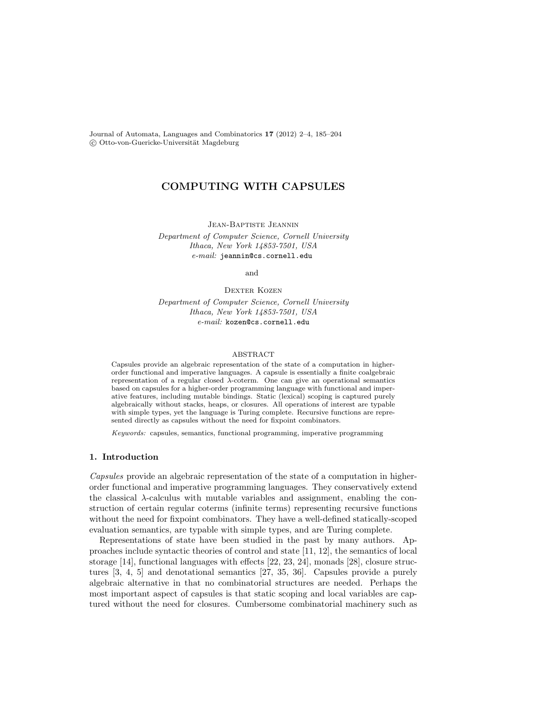Journal of Automata, Languages and Combinatorics 17 (2012) 2–4, 185–204 C Otto-von-Guericke-Universität Magdeburg

# COMPUTING WITH CAPSULES

Jean-Baptiste Jeannin

Department of Computer Science, Cornell University Ithaca, New York 14853-7501, USA e-mail: jeannin@cs.cornell.edu

and

DEXTER KOZEN

Department of Computer Science, Cornell University Ithaca, New York 14853-7501, USA e-mail: kozen@cs.cornell.edu

#### ABSTRACT

Capsules provide an algebraic representation of the state of a computation in higherorder functional and imperative languages. A capsule is essentially a finite coalgebraic representation of a regular closed  $\lambda$ -coterm. One can give an operational semantics based on capsules for a higher-order programming language with functional and imperative features, including mutable bindings. Static (lexical) scoping is captured purely algebraically without stacks, heaps, or closures. All operations of interest are typable with simple types, yet the language is Turing complete. Recursive functions are represented directly as capsules without the need for fixpoint combinators.

Keywords: capsules, semantics, functional programming, imperative programming

### 1. Introduction

Capsules provide an algebraic representation of the state of a computation in higherorder functional and imperative programming languages. They conservatively extend the classical  $\lambda$ -calculus with mutable variables and assignment, enabling the construction of certain regular coterms (infinite terms) representing recursive functions without the need for fixpoint combinators. They have a well-defined statically-scoped evaluation semantics, are typable with simple types, and are Turing complete.

Representations of state have been studied in the past by many authors. Approaches include syntactic theories of control and state [11, 12], the semantics of local storage [14], functional languages with effects [22, 23, 24], monads [28], closure structures [3, 4, 5] and denotational semantics [27, 35, 36]. Capsules provide a purely algebraic alternative in that no combinatorial structures are needed. Perhaps the most important aspect of capsules is that static scoping and local variables are captured without the need for closures. Cumbersome combinatorial machinery such as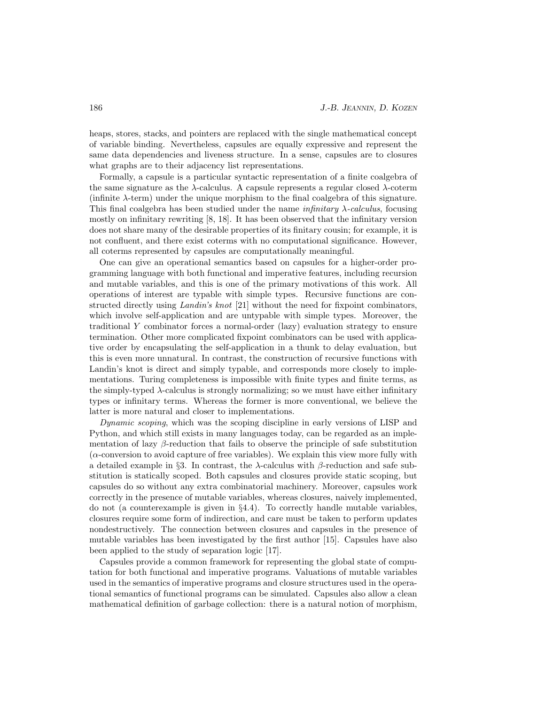heaps, stores, stacks, and pointers are replaced with the single mathematical concept of variable binding. Nevertheless, capsules are equally expressive and represent the same data dependencies and liveness structure. In a sense, capsules are to closures what graphs are to their adjacency list representations.

Formally, a capsule is a particular syntactic representation of a finite coalgebra of the same signature as the  $\lambda$ -calculus. A capsule represents a regular closed  $\lambda$ -coterm (infinite  $\lambda$ -term) under the unique morphism to the final coalgebra of this signature. This final coalgebra has been studied under the name  $\text{infinitary} \lambda$ -calculus, focusing mostly on infinitary rewriting [8, 18]. It has been observed that the infinitary version does not share many of the desirable properties of its finitary cousin; for example, it is not confluent, and there exist coterms with no computational significance. However, all coterms represented by capsules are computationally meaningful.

One can give an operational semantics based on capsules for a higher-order programming language with both functional and imperative features, including recursion and mutable variables, and this is one of the primary motivations of this work. All operations of interest are typable with simple types. Recursive functions are constructed directly using *Landin's knot* [21] without the need for fixpoint combinators, which involve self-application and are untypable with simple types. Moreover, the traditional Y combinator forces a normal-order (lazy) evaluation strategy to ensure termination. Other more complicated fixpoint combinators can be used with applicative order by encapsulating the self-application in a thunk to delay evaluation, but this is even more unnatural. In contrast, the construction of recursive functions with Landin's knot is direct and simply typable, and corresponds more closely to implementations. Turing completeness is impossible with finite types and finite terms, as the simply-typed  $\lambda$ -calculus is strongly normalizing; so we must have either infinitary types or infinitary terms. Whereas the former is more conventional, we believe the latter is more natural and closer to implementations.

Dynamic scoping, which was the scoping discipline in early versions of LISP and Python, and which still exists in many languages today, can be regarded as an implementation of lazy  $\beta$ -reduction that fails to observe the principle of safe substitution (α-conversion to avoid capture of free variables). We explain this view more fully with a detailed example in §3. In contrast, the λ-calculus with β-reduction and safe substitution is statically scoped. Both capsules and closures provide static scoping, but capsules do so without any extra combinatorial machinery. Moreover, capsules work correctly in the presence of mutable variables, whereas closures, naively implemented, do not (a counterexample is given in §4.4). To correctly handle mutable variables, closures require some form of indirection, and care must be taken to perform updates nondestructively. The connection between closures and capsules in the presence of mutable variables has been investigated by the first author [15]. Capsules have also been applied to the study of separation logic [17].

Capsules provide a common framework for representing the global state of computation for both functional and imperative programs. Valuations of mutable variables used in the semantics of imperative programs and closure structures used in the operational semantics of functional programs can be simulated. Capsules also allow a clean mathematical definition of garbage collection: there is a natural notion of morphism,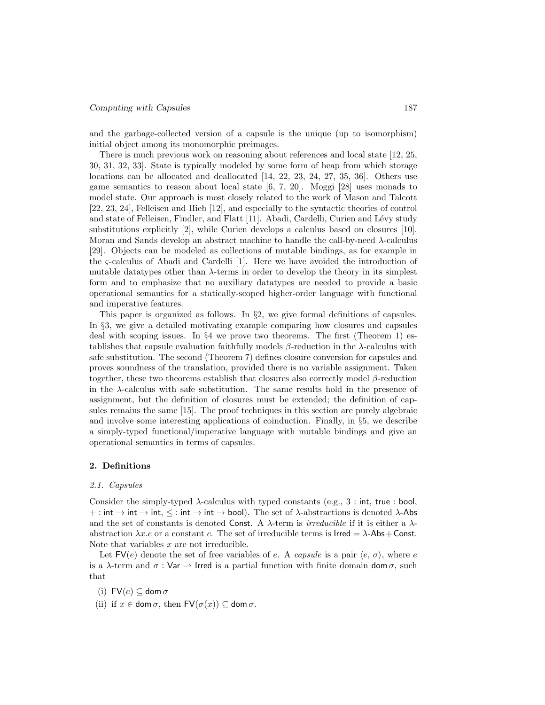and the garbage-collected version of a capsule is the unique (up to isomorphism) initial object among its monomorphic preimages.

There is much previous work on reasoning about references and local state [12, 25, 30, 31, 32, 33]. State is typically modeled by some form of heap from which storage locations can be allocated and deallocated [14, 22, 23, 24, 27, 35, 36]. Others use game semantics to reason about local state [6, 7, 20]. Moggi [28] uses monads to model state. Our approach is most closely related to the work of Mason and Talcott [22, 23, 24], Felleisen and Hieb [12], and especially to the syntactic theories of control and state of Felleisen, Findler, and Flatt [11]. Abadi, Cardelli, Curien and Lévy study substitutions explicitly [2], while Curien develops a calculus based on closures [10]. Moran and Sands develop an abstract machine to handle the call-by-need λ-calculus [29]. Objects can be modeled as collections of mutable bindings, as for example in the ς-calculus of Abadi and Cardelli [1]. Here we have avoided the introduction of mutable datatypes other than  $\lambda$ -terms in order to develop the theory in its simplest form and to emphasize that no auxiliary datatypes are needed to provide a basic operational semantics for a statically-scoped higher-order language with functional and imperative features.

This paper is organized as follows. In  $\S$ 2, we give formal definitions of capsules. In §3, we give a detailed motivating example comparing how closures and capsules deal with scoping issues. In  $\S 4$  we prove two theorems. The first (Theorem 1) establishes that capsule evaluation faithfully models  $\beta$ -reduction in the  $\lambda$ -calculus with safe substitution. The second (Theorem 7) defines closure conversion for capsules and proves soundness of the translation, provided there is no variable assignment. Taken together, these two theorems establish that closures also correctly model β-reduction in the  $\lambda$ -calculus with safe substitution. The same results hold in the presence of assignment, but the definition of closures must be extended; the definition of capsules remains the same [15]. The proof techniques in this section are purely algebraic and involve some interesting applications of coinduction. Finally, in §5, we describe a simply-typed functional/imperative language with mutable bindings and give an operational semantics in terms of capsules.

#### 2. Definitions

#### 2.1. Capsules

Consider the simply-typed  $\lambda$ -calculus with typed constants (e.g., 3 : int, true : bool, + : int  $\rightarrow$  int,  $\leq$  : int  $\rightarrow$  int  $\rightarrow$  bool). The set of  $\lambda$ -abstractions is denoted  $\lambda$ -Abs and the set of constants is denoted Const. A  $\lambda$ -term is *irreducible* if it is either a  $\lambda$ abstraction  $\lambda x.e$  or a constant c. The set of irreducible terms is  $\text{Irred} = \lambda - \text{Abs} + \text{Const.}$ Note that variables x are not irreducible.

Let  $\mathsf{FV}(e)$  denote the set of free variables of e. A capsule is a pair  $\langle e, \sigma \rangle$ , where e is a  $\lambda$ -term and  $\sigma$ : Var  $\rightarrow$  Irred is a partial function with finite domain dom  $\sigma$ , such that

(i)  $\mathsf{FV}(e) \subseteq \mathsf{dom}\,\sigma$ 

(ii) if  $x \in \text{dom }\sigma$ , then  $\textsf{FV}(\sigma(x)) \subseteq \text{dom }\sigma$ .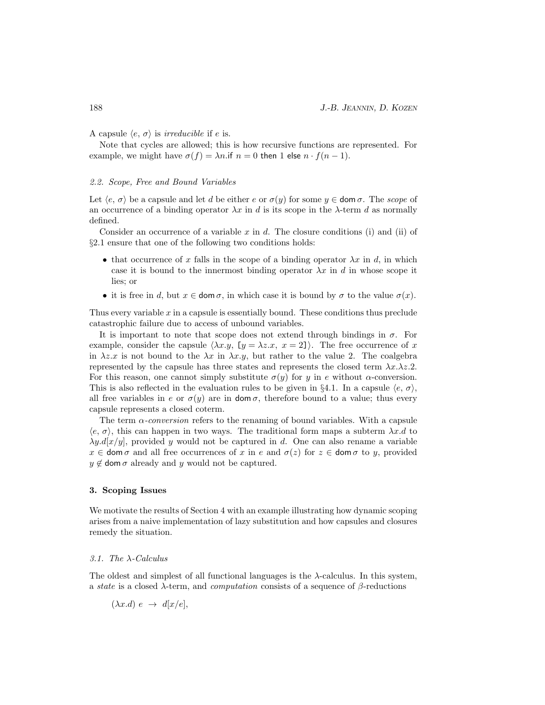A capsule  $\langle e, \sigma \rangle$  is *irreducible* if e is.

Note that cycles are allowed; this is how recursive functions are represented. For example, we might have  $\sigma(f) = \lambda n$  if  $n = 0$  then 1 else  $n \cdot f(n-1)$ .

### 2.2. Scope, Free and Bound Variables

Let  $\langle e, \sigma \rangle$  be a capsule and let d be either e or  $\sigma(y)$  for some  $y \in \text{dom }\sigma$ . The scope of an occurrence of a binding operator  $\lambda x$  in d is its scope in the  $\lambda$ -term d as normally defined.

Consider an occurrence of a variable x in d. The closure conditions (i) and (ii) of §2.1 ensure that one of the following two conditions holds:

- that occurrence of x falls in the scope of a binding operator  $\lambda x$  in d, in which case it is bound to the innermost binding operator  $\lambda x$  in d in whose scope it lies; or
- it is free in d, but  $x \in \text{dom }\sigma$ , in which case it is bound by  $\sigma$  to the value  $\sigma(x)$ .

Thus every variable  $x$  in a capsule is essentially bound. These conditions thus preclude catastrophic failure due to access of unbound variables.

It is important to note that scope does not extend through bindings in  $\sigma$ . For example, consider the capsule  $\langle \lambda x. y, [y = \lambda z. x, x = 2] \rangle$ . The free occurrence of x in  $\lambda z.x$  is not bound to the  $\lambda x$  in  $\lambda x.y$ , but rather to the value 2. The coalgebra represented by the capsule has three states and represents the closed term  $\lambda x.\lambda z.2$ . For this reason, one cannot simply substitute  $\sigma(y)$  for y in e without  $\alpha$ -conversion. This is also reflected in the evaluation rules to be given in §4.1. In a capsule  $\langle e, \sigma \rangle$ , all free variables in e or  $\sigma(y)$  are in dom  $\sigma$ , therefore bound to a value; thus every capsule represents a closed coterm.

The term  $\alpha$ -conversion refers to the renaming of bound variables. With a capsule  $\langle e, \sigma \rangle$ , this can happen in two ways. The traditional form maps a subterm  $\lambda x.d$  to  $\lambda y. d[x/y]$ , provided y would not be captured in d. One can also rename a variable  $x \in \text{dom }\sigma$  and all free occurrences of x in e and  $\sigma(z)$  for  $z \in \text{dom }\sigma$  to y, provided  $y \notin \text{dom}\,\sigma$  already and y would not be captured.

### 3. Scoping Issues

We motivate the results of Section 4 with an example illustrating how dynamic scoping arises from a naive implementation of lazy substitution and how capsules and closures remedy the situation.

#### 3.1. The  $\lambda$ -Calculus

The oldest and simplest of all functional languages is the  $\lambda$ -calculus. In this system, a state is a closed  $\lambda$ -term, and *computation* consists of a sequence of  $\beta$ -reductions

$$
(\lambda x.d) e \rightarrow d[x/e],
$$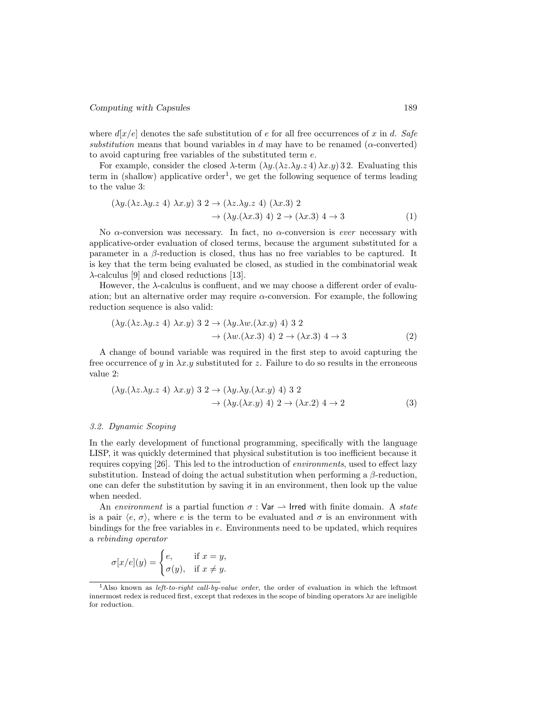where  $d[x/e]$  denotes the safe substitution of e for all free occurrences of x in d. Safe substitution means that bound variables in d may have to be renamed ( $\alpha$ -converted) to avoid capturing free variables of the substituted term e.

For example, consider the closed  $\lambda$ -term  $(\lambda y.(\lambda z.\lambda y. z 4) \lambda x. y) 32$ . Evaluating this term in (shallow) applicative order<sup>1</sup>, we get the following sequence of terms leading to the value 3:

$$
(\lambda y.(\lambda z.\lambda y.z 4) \lambda x.y) 3 2 \rightarrow (\lambda z.\lambda y.z 4) (\lambda x.3) 2
$$
  

$$
\rightarrow (\lambda y.(\lambda x.3) 4) 2 \rightarrow (\lambda x.3) 4 \rightarrow 3
$$
 (1)

No  $\alpha$ -conversion was necessary. In fact, no  $\alpha$ -conversion is *ever* necessary with applicative-order evaluation of closed terms, because the argument substituted for a parameter in a  $\beta$ -reduction is closed, thus has no free variables to be captured. It is key that the term being evaluated be closed, as studied in the combinatorial weak  $\lambda$ -calculus [9] and closed reductions [13].

However, the  $\lambda$ -calculus is confluent, and we may choose a different order of evaluation; but an alternative order may require  $\alpha$ -conversion. For example, the following reduction sequence is also valid:

$$
(\lambda y.(\lambda z.\lambda y.z 4) \lambda x.y) 3 2 \rightarrow (\lambda y.\lambda w.(\lambda x.y) 4) 3 2
$$
  

$$
\rightarrow (\lambda w.(\lambda x.3) 4) 2 \rightarrow (\lambda x.3) 4 \rightarrow 3
$$
 (2)

A change of bound variable was required in the first step to avoid capturing the free occurrence of y in  $\lambda x.y$  substituted for z. Failure to do so results in the erroneous value 2:

$$
(\lambda y.(\lambda z.\lambda y.z 4) \lambda x.y) 3 2 \rightarrow (\lambda y.\lambda y.(\lambda x.y) 4) 3 2
$$
  

$$
\rightarrow (\lambda y.(\lambda x.y) 4) 2 \rightarrow (\lambda x.2) 4 \rightarrow 2
$$
(3)

# 3.2. Dynamic Scoping

In the early development of functional programming, specifically with the language LISP, it was quickly determined that physical substitution is too inefficient because it requires copying [26]. This led to the introduction of environments, used to effect lazy substitution. Instead of doing the actual substitution when performing a  $\beta$ -reduction, one can defer the substitution by saving it in an environment, then look up the value when needed.

An environment is a partial function  $\sigma : \mathsf{Var} \to \mathsf{Irred}$  with finite domain. A state is a pair  $\langle e, \sigma \rangle$ , where e is the term to be evaluated and  $\sigma$  is an environment with bindings for the free variables in e. Environments need to be updated, which requires a rebinding operator

$$
\sigma[x/e](y) = \begin{cases} e, & \text{if } x = y, \\ \sigma(y), & \text{if } x \neq y. \end{cases}
$$

<sup>&</sup>lt;sup>1</sup>Also known as *left-to-right call-by-value order*, the order of evaluation in which the leftmost innermost redex is reduced first, except that redexes in the scope of binding operators  $\lambda x$  are ineligible for reduction.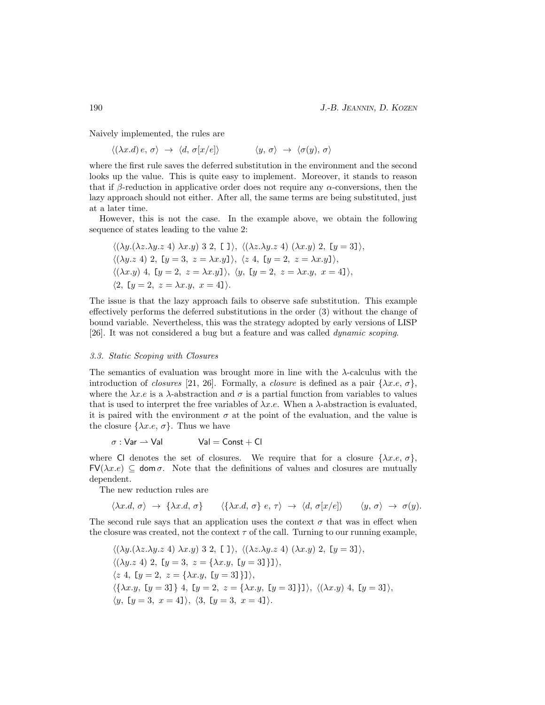Naively implemented, the rules are

 $\langle (\lambda x.d) e, \sigma \rangle \rightarrow \langle d, \sigma[x/e] \rangle \qquad \langle y, \sigma \rangle \rightarrow \langle \sigma(y), \sigma \rangle$ 

where the first rule saves the deferred substitution in the environment and the second looks up the value. This is quite easy to implement. Moreover, it stands to reason that if  $\beta$ -reduction in applicative order does not require any  $\alpha$ -conversions, then the lazy approach should not either. After all, the same terms are being substituted, just at a later time.

However, this is not the case. In the example above, we obtain the following sequence of states leading to the value 2:

$$
\langle (\lambda y.(\lambda z.\lambda y.z 4) \lambda x.y) 3 2, [1] \rangle, \langle (\lambda z.\lambda y.z 4) (\lambda x.y) 2, [y = 3] \rangle,
$$
  

$$
\langle (\lambda y.z 4) 2, [y = 3, z = \lambda x.y] \rangle, \langle z 4, [y = 2, z = \lambda x.y] \rangle,
$$
  

$$
\langle (\lambda x.y) 4, [y = 2, z = \lambda x.y], \langle y, [y = 2, z = \lambda x.y, x = 4] \rangle,
$$
  

$$
\langle 2, [y = 2, z = \lambda x.y, x = 4] \rangle.
$$

The issue is that the lazy approach fails to observe safe substitution. This example effectively performs the deferred substitutions in the order (3) without the change of bound variable. Nevertheless, this was the strategy adopted by early versions of LISP [26]. It was not considered a bug but a feature and was called dynamic scoping.

## 3.3. Static Scoping with Closures

The semantics of evaluation was brought more in line with the  $\lambda$ -calculus with the introduction of closures [21, 26]. Formally, a closure is defined as a pair  $\{\lambda x.e., \sigma\}$ , where the  $\lambda x \cdot e$  is a  $\lambda$ -abstraction and  $\sigma$  is a partial function from variables to values that is used to interpret the free variables of  $\lambda x.e.$  When a  $\lambda$ -abstraction is evaluated, it is paired with the environment  $\sigma$  at the point of the evaluation, and the value is the closure  $\{\lambda x.e, \sigma\}$ . Thus we have

$$
\sigma: \text{Var} \rightharpoonup \text{Val} \qquad \text{Val} = \text{Const} + \text{Cl}
$$

where Cl denotes the set of closures. We require that for a closure  $\{\lambda x.e., \sigma\}$ ,  $FV(\lambda x.e) \subseteq \text{dom }\sigma$ . Note that the definitions of values and closures are mutually dependent.

The new reduction rules are

$$
\langle \lambda x.d, \sigma \rangle \rightarrow \{\lambda x.d, \sigma\} \qquad \langle \{\lambda x.d, \sigma\} e, \tau \rangle \rightarrow \langle d, \sigma[x/e] \rangle \qquad \langle y, \sigma \rangle \rightarrow \sigma(y).
$$

The second rule says that an application uses the context  $\sigma$  that was in effect when the closure was created, not the context  $\tau$  of the call. Turning to our running example,

$$
\langle (\lambda y.(\lambda z.\lambda y.z 4) \lambda x.y) 3 2, [1] \rangle, \langle (\lambda z.\lambda y.z 4) (\lambda x.y) 2, [y = 3] \rangle,
$$
  

$$
\langle (\lambda y.z 4) 2, [y = 3, z = {\lambda x.y, [y = 3]}] \rangle,
$$
  

$$
\langle z 4, [y = 2, z = {\lambda x.y, [y = 3]}] \rangle,
$$
  

$$
\langle {\lambda x.y, [y = 3]} \rangle 4, [y = 2, z = {\lambda x.y, [y = 3]}] \rangle, \langle (\lambda x.y) 4, [y = 3] \rangle,
$$
  

$$
\langle y, [y = 3, x = 4] \rangle, \langle 3, [y = 3, x = 4] \rangle.
$$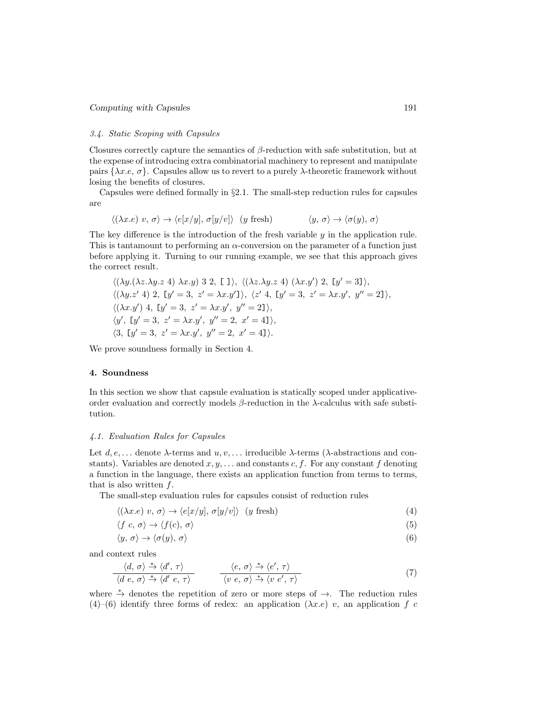### 3.4. Static Scoping with Capsules

Closures correctly capture the semantics of  $\beta$ -reduction with safe substitution, but at the expense of introducing extra combinatorial machinery to represent and manipulate pairs  $\{\lambda x.e., \sigma\}$ . Capsules allow us to revert to a purely  $\lambda$ -theoretic framework without losing the benefits of closures.

Capsules were defined formally in §2.1. The small-step reduction rules for capsules are

$$
\langle (\lambda x.e) v, \sigma \rangle \to \langle e[x/y], \sigma[y/v] \rangle \quad (y \text{ fresh}) \qquad \langle y, \sigma \rangle \to \langle \sigma(y), \sigma \rangle
$$

The key difference is the introduction of the fresh variable  $y$  in the application rule. This is tantamount to performing an  $\alpha$ -conversion on the parameter of a function just before applying it. Turning to our running example, we see that this approach gives the correct result.

$$
\langle (\lambda y.(\lambda z.\lambda y.z 4) \lambda x.y) 3 2, [1], \langle (\lambda z.\lambda y.z 4) (\lambda x.y') 2, [y' = 3], \langle (\lambda y.z' 4) 2, [y' = 3, z' = \lambda x.y'] \rangle, \langle z' 4, [y' = 3, z' = \lambda x.y', y'' = 2], \langle (\lambda x.y') 4, [y' = 3, z' = \lambda x.y', y'' = 2], \langle y', [y' = 3, z' = \lambda x.y', y'' = 2, x' = 4], \langle 3, [y' = 3, z' = \lambda x.y', y'' = 2, x' = 4].
$$

We prove soundness formally in Section 4.

### 4. Soundness

In this section we show that capsule evaluation is statically scoped under applicativeorder evaluation and correctly models  $\beta$ -reduction in the  $\lambda$ -calculus with safe substitution.

#### 4.1. Evaluation Rules for Capsules

Let  $d, e, \ldots$  denote  $\lambda$ -terms and  $u, v, \ldots$  irreducible  $\lambda$ -terms ( $\lambda$ -abstractions and constants). Variables are denoted  $x, y, \ldots$  and constants c, f. For any constant f denoting a function in the language, there exists an application function from terms to terms, that is also written  $f$ .

The small-step evaluation rules for capsules consist of reduction rules

$$
\langle (\lambda x.e) \ v, \sigma \rangle \to \langle e[x/y], \sigma[y/v] \rangle \ (y \text{ fresh}) \tag{4}
$$

$$
\langle f \ c, \ \sigma \rangle \to \langle f(c), \ \sigma \rangle \tag{5}
$$

$$
\langle y, \sigma \rangle \to \langle \sigma(y), \sigma \rangle \tag{6}
$$

and context rules

$$
\frac{\langle d, \sigma \rangle \stackrel{*}{\to} \langle d', \tau \rangle}{\langle d \ e, \sigma \rangle \stackrel{*}{\to} \langle d' \ e, \tau \rangle} \qquad \frac{\langle e, \sigma \rangle \stackrel{*}{\to} \langle e', \tau \rangle}{\langle v \ e, \sigma \rangle \stackrel{*}{\to} \langle v \ e', \tau \rangle} \tag{7}
$$

where  $\stackrel{*}{\to}$  denotes the repetition of zero or more steps of  $\to$ . The reduction rules  $(4)$ – $(6)$  identify three forms of redex: an application  $(\lambda x.e)$  v, an application f c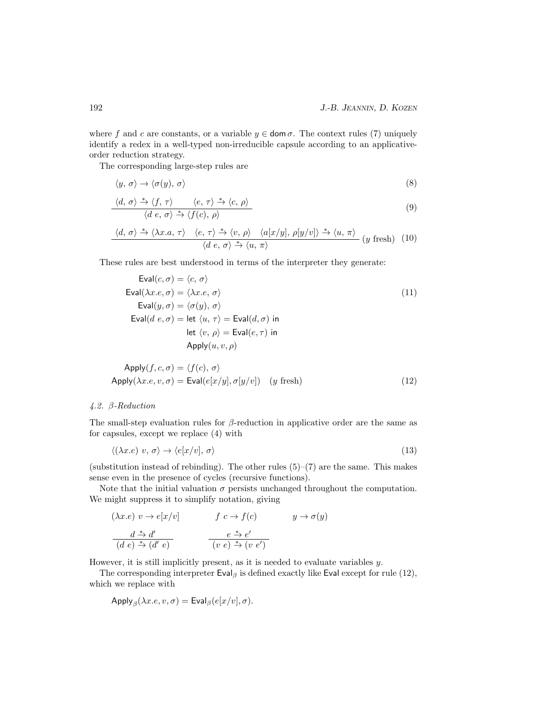where f and c are constants, or a variable  $y \in \text{dom }\sigma$ . The context rules (7) uniquely identify a redex in a well-typed non-irreducible capsule according to an applicativeorder reduction strategy.

The corresponding large-step rules are

$$
\langle y, \sigma \rangle \to \langle \sigma(y), \sigma \rangle \tag{8}
$$

$$
\frac{\langle d, \sigma \rangle \stackrel{*}{\to} \langle f, \tau \rangle \qquad \langle e, \tau \rangle \stackrel{*}{\to} \langle c, \rho \rangle}{\langle d \ e, \sigma \rangle \stackrel{*}{\to} \langle f(c), \rho \rangle} \tag{9}
$$

$$
\frac{\langle d, \sigma \rangle \xrightarrow{\ast} \langle \lambda x. a, \tau \rangle \quad \langle e, \tau \rangle \xrightarrow{\ast} \langle v, \rho \rangle \quad \langle a[x/y], \rho[y/v] \rangle \xrightarrow{\ast} \langle u, \pi \rangle}{\langle d \ e, \sigma \rangle \xrightarrow{\ast} \langle u, \pi \rangle} (y \ \text{fresh}) \tag{10}
$$

These rules are best understood in terms of the interpreter they generate:

$$
\text{Eval}(c, \sigma) = \langle c, \sigma \rangle
$$
\n
$$
\text{Eval}(\lambda x.e, \sigma) = \langle \lambda x.e, \sigma \rangle
$$
\n
$$
\text{Eval}(y, \sigma) = \langle \sigma(y), \sigma \rangle
$$
\n
$$
\text{Eval}(d \ e, \sigma) = \text{let } \langle u, \tau \rangle = \text{Eval}(d, \sigma) \text{ in}
$$
\n
$$
\text{let } \langle v, \rho \rangle = \text{Eval}(e, \tau) \text{ in}
$$
\n
$$
\text{Apply}(u, v, \rho)
$$
\n(11)

$$
Apply(f, c, \sigma) = \langle f(c), \sigma \rangle
$$
  
Apply( $\lambda x.e, v, \sigma$ ) =  $Eval(e[x/y], \sigma[y/v])$  (*y* fresh) (12)

# 4.2. β-Reduction

The small-step evaluation rules for  $\beta$ -reduction in applicative order are the same as for capsules, except we replace (4) with

$$
\langle (\lambda x.e) \ v, \sigma \rangle \to \langle e[x/v], \sigma \rangle \tag{13}
$$

(substitution instead of rebinding). The other rules  $(5)-(7)$  are the same. This makes sense even in the presence of cycles (recursive functions).

Note that the initial valuation  $\sigma$  persists unchanged throughout the computation. We might suppress it to simplify notation, giving

$$
(\lambda x.e) \ v \to e[x/v] \qquad f \ c \to f(c) \qquad y \to \sigma(y)
$$

$$
\frac{d^*}{(d \ e) ^* (d' \ e)} \qquad \frac{e^*}{(v \ e) ^* (v \ e')}
$$

However, it is still implicitly present, as it is needed to evaluate variables y.

The corresponding interpreter  $Eval_{\beta}$  is defined exactly like Eval except for rule (12), which we replace with

$$
Apply_{\beta}(\lambda x.e, v, \sigma) = \text{Eval}_{\beta}(e[x/v], \sigma).
$$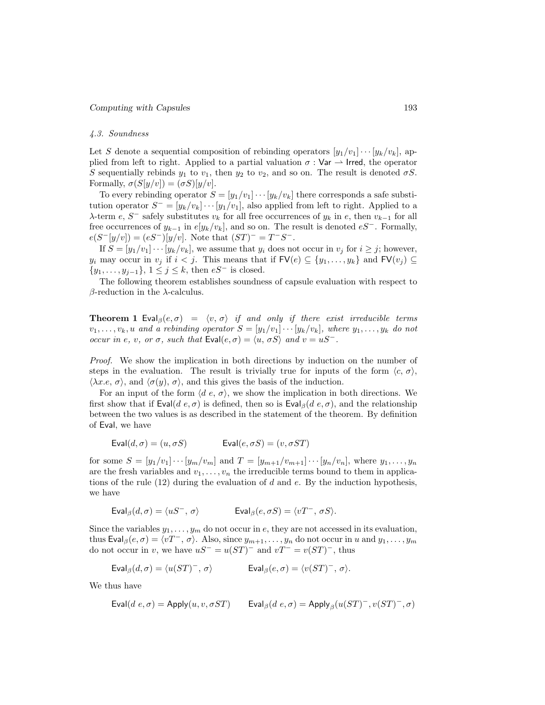### 4.3. Soundness

Let S denote a sequential composition of rebinding operators  $[y_1/v_1] \cdots [y_k/v_k]$ , applied from left to right. Applied to a partial valuation  $\sigma : \mathsf{Var} \to \mathsf{Irred}$ , the operator S sequentially rebinds  $y_1$  to  $v_1$ , then  $y_2$  to  $v_2$ , and so on. The result is denoted  $\sigma S$ . Formally,  $\sigma(S[y/v]) = (\sigma S)[y/v].$ 

To every rebinding operator  $S = [y_1/v_1] \cdots [y_k/v_k]$  there corresponds a safe substitution operator  $S^- = [y_k/v_k] \cdots [y_1/v_1]$ , also applied from left to right. Applied to a  $\lambda$ -term  $e, S^-$  safely substitutes  $v_k$  for all free occurrences of  $y_k$  in  $e$ , then  $v_{k-1}$  for all free occurrences of  $y_{k-1}$  in  $e[y_k/v_k]$ , and so on. The result is denoted  $eS^-$ . Formally,  $e(S^{-}[y/v]) = (eS^{-})[y/v].$  Note that  $(ST)^{-} = T^{-}S^{-}$ .

If  $S = [y_1/v_1] \cdots [y_k/v_k]$ , we assume that  $y_i$  does not occur in  $v_j$  for  $i \geq j$ ; however,  $y_i$  may occur in  $v_j$  if  $i < j$ . This means that if  $\mathsf{FV}(e) \subseteq \{y_1, \ldots, y_k\}$  and  $\mathsf{FV}(v_j) \subseteq$  $\{y_1, \ldots, y_{j-1}\}, \ 1 \leq j \leq k, \$  then  $eS^-$  is closed.

The following theorem establishes soundness of capsule evaluation with respect to  $β$ -reduction in the  $λ$ -calculus.

**Theorem 1** Eval<sub>β</sub> $(e, \sigma) = \langle v, \sigma \rangle$  if and only if there exist irreducible terms  $v_1, \ldots, v_k, u$  and a rebinding operator  $S = [y_1/v_1] \cdots [y_k/v_k]$ , where  $y_1, \ldots, y_k$  do not occur in e, v, or  $\sigma$ , such that  $Eval(e, \sigma) = \langle u, \sigma S \rangle$  and  $v = uS^-$ .

Proof. We show the implication in both directions by induction on the number of steps in the evaluation. The result is trivially true for inputs of the form  $\langle c, \sigma \rangle$ ,  $\langle \lambda x.e, \sigma \rangle$ , and  $\langle \sigma(y), \sigma \rangle$ , and this gives the basis of the induction.

For an input of the form  $\langle d \, e, \sigma \rangle$ , we show the implication in both directions. We first show that if  $Eval(d e, \sigma)$  is defined, then so is  $Eval<sub>\beta</sub>(d e, \sigma)$ , and the relationship between the two values is as described in the statement of the theorem. By definition of Eval, we have

$$
Eval(d, \sigma) = (u, \sigma S) \qquad \qquad \text{Eval}(e, \sigma S) = (v, \sigma S T)
$$

for some  $S = [y_1/v_1] \cdots [y_m/v_m]$  and  $T = [y_{m+1}/v_{m+1}] \cdots [y_n/v_n]$ , where  $y_1, \ldots, y_n$ are the fresh variables and  $v_1, \ldots, v_n$  the irreducible terms bound to them in applications of the rule  $(12)$  during the evaluation of d and e. By the induction hypothesis, we have

$$
\text{Eval}_{\beta}(d, \sigma) = \langle uS^{-}, \sigma \rangle \qquad \qquad \text{Eval}_{\beta}(e, \sigma S) = \langle vT^{-}, \sigma S \rangle.
$$

Since the variables  $y_1, \ldots, y_m$  do not occur in e, they are not accessed in its evaluation, thus Eval<sub>β</sub> $(e, \sigma) = \langle vT^-, \sigma \rangle$ . Also, since  $y_{m+1}, \ldots, y_n$  do not occur in u and  $y_1, \ldots, y_m$ do not occur in v, we have  $uS^- = u(ST)^-$  and  $vT^- = v(ST)^-$ , thus

$$
\text{Eval}_{\beta}(d, \sigma) = \langle u(ST)^-, \sigma \rangle \qquad \qquad \text{Eval}_{\beta}(e, \sigma) = \langle v(ST)^-, \sigma \rangle.
$$

We thus have

$$
\mathsf{Eval}(d \ e, \sigma) = \mathsf{Apply}(u, v, \sigma ST) \qquad \mathsf{Eval}_{\beta}(d \ e, \sigma) = \mathsf{Apply}_{\beta}(u(ST)^-, v(ST)^-, \sigma)
$$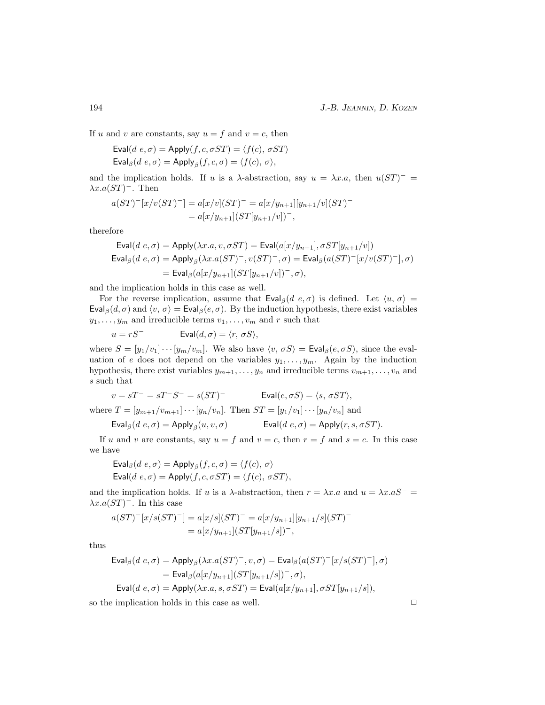If u and v are constants, say  $u = f$  and  $v = c$ , then

$$
\text{Eval}(d \ e, \sigma) = \text{Apply}(f, c, \sigma ST) = \langle f(c), \sigma ST \rangle
$$
\n
$$
\text{Eval}_{\beta}(d \ e, \sigma) = \text{Apply}_{\beta}(f, c, \sigma) = \langle f(c), \sigma \rangle,
$$

and the implication holds. If u is a  $\lambda$ -abstraction, say  $u = \lambda x.a$ , then  $u(ST)^{-}$  $\lambda x.a(ST)$ <sup>-</sup>. Then

$$
a(ST)^{-}[x/v(ST)^{-}] = a[x/v](ST)^{-} = a[x/y_{n+1}][y_{n+1}/v](ST)^{-}
$$
  
=  $a[x/y_{n+1}](ST[y_{n+1}/v])^{-}$ ,

therefore

$$
\begin{aligned} \textsf{Eval}(d~e, \sigma) &= \mathsf{Apply}(\lambda x.a, v, \sigma ST) = \textsf{Eval}(a[x/y_{n+1}], \sigma ST[y_{n+1}/v]) \\ \textsf{Eval}_{\beta}(d~e, \sigma) &= \mathsf{Apply}_{\beta}(\lambda x.a(ST)^-, v(ST)^-, \sigma) = \textsf{Eval}_{\beta}(a(ST)^-[x/v(ST)^-], \sigma) \\ &= \textsf{Eval}_{\beta}(a[x/y_{n+1}](ST[y_{n+1}/v])^-, \sigma), \end{aligned}
$$

and the implication holds in this case as well.

For the reverse implication, assume that  $\text{Eval}_{\beta}(d, e, \sigma)$  is defined. Let  $\langle u, \sigma \rangle =$ Eval<sub>β</sub> $(d, \sigma)$  and  $\langle v, \sigma \rangle$  = Eval<sub>β</sub> $(e, \sigma)$ . By the induction hypothesis, there exist variables  $y_1, \ldots, y_m$  and irreducible terms  $v_1, \ldots, v_m$  and r such that

$$
u = rS^{-} \qquad \qquad \text{Eval}(d, \sigma) = \langle r, \, \sigma S \rangle,
$$

where  $S = [y_1/v_1] \cdots [y_m/v_m]$ . We also have  $\langle v, \sigma S \rangle = \text{Eval}_{\beta}(e, \sigma S)$ , since the evaluation of e does not depend on the variables  $y_1, \ldots, y_m$ . Again by the induction hypothesis, there exist variables  $y_{m+1}, \ldots, y_n$  and irreducible terms  $v_{m+1}, \ldots, v_n$  and s such that

$$
v = sT^- = sT^-S^- = s(ST)^-\qquad \qquad \text{Eval}(e, \sigma S) = \langle s, \, \sigma ST \rangle,
$$

where  $T = [y_{m+1}/v_{m+1}] \cdots [y_n/v_n]$ . Then  $ST = [y_1/v_1] \cdots [y_n/v_n]$  and

$$
\text{Eval}_{\beta}(d \ e, \sigma) = \text{Apply}_{\beta}(u, v, \sigma) \qquad \qquad \text{Eval}(d \ e, \sigma) = \text{Apply}(r, s, \sigma ST).
$$

If u and v are constants, say  $u = f$  and  $v = c$ , then  $r = f$  and  $s = c$ . In this case we have

$$
\text{Eval}_{\beta}(d \ e, \sigma) = \text{Apply}_{\beta}(f, c, \sigma) = \langle f(c), \sigma \rangle
$$
\n
$$
\text{Eval}(d \ e, \sigma) = \text{Apply}(f, c, \sigma ST) = \langle f(c), \sigma ST \rangle,
$$

and the implication holds. If u is a  $\lambda$ -abstraction, then  $r = \lambda x.a$  and  $u = \lambda x.aS^ \lambda x.a(ST)^-$ . In this case

$$
a(ST)^{-}[x/s(ST)^{-}] = a[x/s](ST)^{-} = a[x/y_{n+1}][y_{n+1}/s](ST)^{-}
$$
  
=  $a[x/y_{n+1}](ST[y_{n+1}/s])^{-}$ ,

thus

$$
\text{Eval}_{\beta}(d \ e, \sigma) = \text{Apply}_{\beta}(\lambda x. a(ST)^{-}, v, \sigma) = \text{Eval}_{\beta}(a(ST)^{-}[x/s(ST)^{-}], \sigma)
$$
\n
$$
= \text{Eval}_{\beta}(a[x/y_{n+1}](ST[y_{n+1}/s])^{-}, \sigma),
$$
\n
$$
\text{Eval}(d \ e, \sigma) = \text{Apply}(\lambda x. a, s, \sigma ST) = \text{Eval}(a[x/y_{n+1}], \sigma ST[y_{n+1}/s]),
$$

so the implication holds in this case as well.  $\Box$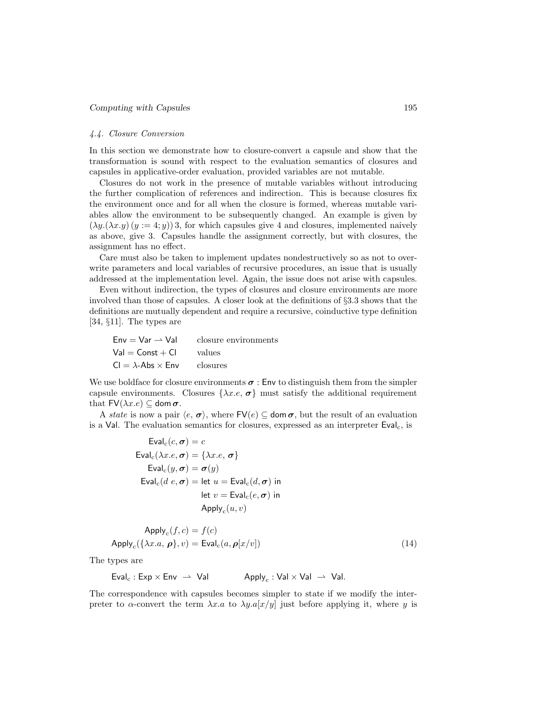#### 4.4. Closure Conversion

In this section we demonstrate how to closure-convert a capsule and show that the transformation is sound with respect to the evaluation semantics of closures and capsules in applicative-order evaluation, provided variables are not mutable.

Closures do not work in the presence of mutable variables without introducing the further complication of references and indirection. This is because closures fix the environment once and for all when the closure is formed, whereas mutable variables allow the environment to be subsequently changed. An example is given by  $(\lambda y.(\lambda x.y)(y := 4; y))$ 3, for which capsules give 4 and closures, implemented naively as above, give 3. Capsules handle the assignment correctly, but with closures, the assignment has no effect.

Care must also be taken to implement updates nondestructively so as not to overwrite parameters and local variables of recursive procedures, an issue that is usually addressed at the implementation level. Again, the issue does not arise with capsules.

Even without indirection, the types of closures and closure environments are more involved than those of capsules. A closer look at the definitions of §3.3 shows that the definitions are mutually dependent and require a recursive, coinductive type definition [34, §11]. The types are

 $Env = Var \rightarrow Val$  closure environments  $Val = Const + Cl$  values  $CI = \lambda$ -Abs  $\times$  Env closures

We use boldface for closure environments  $\sigma$ : Env to distinguish them from the simpler capsule environments. Closures  $\{\lambda x.e., \sigma\}$  must satisfy the additional requirement that  $FV(\lambda x.e) \subseteq$  dom  $\sigma$ .

A state is now a pair  $\langle e, \sigma \rangle$ , where  $\mathsf{FV}(e) \subseteq \mathsf{dom}\,\sigma$ , but the result of an evaluation is a Val. The evaluation semantics for closures, expressed as an interpreter  $Eval_c$ , is

$$
Eval_c(c, \sigma) = c
$$
  
\n
$$
Eval_c(\lambda x.e, \sigma) = {\lambda x.e, \sigma}
$$
  
\n
$$
Eval_c(y, \sigma) = \sigma(y)
$$
  
\n
$$
Eval_c(d e, \sigma) = let u = eval_c(d, \sigma) in
$$
  
\n
$$
let v = eval_c(e, \sigma) in
$$
  
\n
$$
Apply_c(u, v)
$$

$$
Apply_c(f, c) = f(c)
$$
  
Apply<sub>c</sub> $(\{\lambda x.a, \rho\}, v) = \text{Eval}_c(a, \rho[x/v])$  (14)

The types are

 $Eval_c : Exp \times Env \rightarrow Val$ Apply<sub>c</sub>: Val  $\times$  Val.  $\rightarrow$  Val.

The correspondence with capsules becomes simpler to state if we modify the interpreter to  $\alpha$ -convert the term  $\lambda x.a$  to  $\lambda y.a[x/y]$  just before applying it, where y is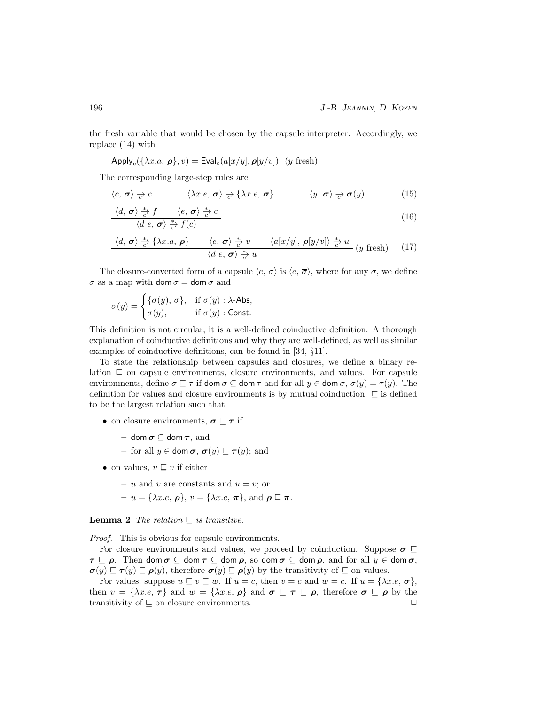the fresh variable that would be chosen by the capsule interpreter. Accordingly, we replace (14) with

$$
Apply_c(\{\lambda x.a, \rho\}, v) = \text{Eval}_c(a[x/y], \rho[y/v]) \ (y \text{ fresh})
$$

The corresponding large-step rules are

$$
\langle c, \sigma \rangle \underset{c}{\rightarrow} c \qquad \langle \lambda x.e, \sigma \rangle \underset{c}{\rightarrow} \{ \lambda x.e, \sigma \} \qquad \langle y, \sigma \rangle \underset{c}{\rightarrow} \sigma(y) \qquad (15)
$$

$$
\frac{\langle d, \boldsymbol{\sigma} \rangle \stackrel{*}{\underset{c}{\sim}} f}{\langle d \ e, \boldsymbol{\sigma} \rangle \stackrel{*}{\underset{c}{\rightarrow}} f} \langle e, \boldsymbol{\sigma} \rangle \stackrel{*}{\underset{c}{\rightarrow}} c}{\langle d \ e, \boldsymbol{\sigma} \rangle \stackrel{*}{\underset{c}{\rightarrow}} f(c)}
$$
(16)

$$
\frac{\langle d, \sigma \rangle \stackrel{*}{\underset{c'}{\sim}} \{\lambda x.a, \rho\} \qquad \langle e, \sigma \rangle \stackrel{*}{\underset{c'}{\sim}} v \qquad \langle a[x/y], \rho[y/v] \rangle \stackrel{*}{\underset{c'}{\rightleftarrows}} u}{\langle d \ e, \sigma \rangle \stackrel{*}{\underset{c'}{\rightarrow}} u} (y \ \text{ fresh}) \qquad (17)
$$

The closure-converted form of a capsule  $\langle e, \sigma \rangle$  is  $\langle e, \overline{\sigma} \rangle$ , where for any  $\sigma$ , we define  $\overline{\sigma}$  as a map with dom  $\sigma =$  dom  $\overline{\sigma}$  and

$$
\overline{\sigma}(y) = \begin{cases} \{\sigma(y), \overline{\sigma}\}, & \text{if } \sigma(y) : \lambda\text{-Abs}, \\ \sigma(y), & \text{if } \sigma(y) : \text{Const.} \end{cases}
$$

This definition is not circular, it is a well-defined coinductive definition. A thorough explanation of coinductive definitions and why they are well-defined, as well as similar examples of coinductive definitions, can be found in [34, §11].

To state the relationship between capsules and closures, we define a binary relation  $\sqsubseteq$  on capsule environments, closure environments, and values. For capsule environments, define  $\sigma \sqsubseteq \tau$  if dom  $\sigma \subseteq$  dom  $\tau$  and for all  $y \in$  dom  $\sigma$ ,  $\sigma(y) = \tau(y)$ . The definition for values and closure environments is by mutual coinduction:  $\subseteq$  is defined to be the largest relation such that

- on closure environments,  $\sigma \sqsubseteq \tau$  if
	- dom  $\sigma \subset$  dom  $\tau$ , and
	- for all  $y \in \text{dom }\sigma, \sigma(y) \sqsubseteq \tau(y)$ ; and
- on values,  $u \sqsubset v$  if either
	- u and v are constants and  $u = v$ ; or
	- $-u = {\lambda x.e, \boldsymbol{\rho}}, v = {\lambda x.e, \boldsymbol{\pi}}, \text{ and } \boldsymbol{\rho} \sqsubseteq \boldsymbol{\pi}.$

**Lemma 2** The relation  $\subseteq$  is transitive.

Proof. This is obvious for capsule environments.

For closure environments and values, we proceed by coinduction. Suppose  $\sigma \subset$  $\tau \sqsubseteq \rho$ . Then dom  $\sigma \subseteq$  dom  $\tau \subseteq$  dom  $\rho$ , so dom  $\sigma \subseteq$  dom  $\rho$ , and for all  $y \in$  dom  $\sigma$ ,  $\sigma(y) \sqsubseteq \tau(y) \sqsubseteq \rho(y)$ , therefore  $\sigma(y) \sqsubseteq \rho(y)$  by the transitivity of  $\sqsubseteq$  on values.

For values, suppose  $u \sqsubseteq v \sqsubseteq w$ . If  $u = c$ , then  $v = c$  and  $w = c$ . If  $u = \{\lambda x.e., \sigma\},\$ then  $v = {\lambda x.e, \tau}$  and  $w = {\lambda x.e, \rho}$  and  $\sigma \subseteq \tau \subseteq \rho$ , therefore  $\sigma \subseteq \rho$  by the transitivity of  $\sqsubseteq$  on closure environments.  $\Box$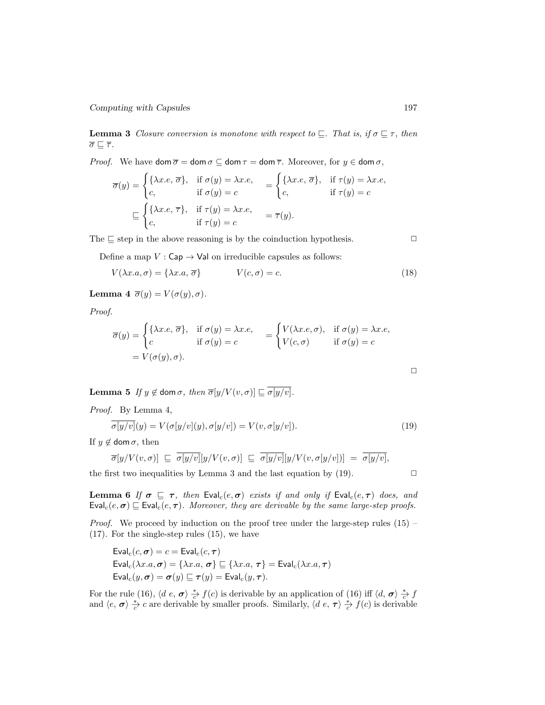**Lemma 3** Closure conversion is monotone with respect to  $\subseteq$ . That is, if  $\sigma \subseteq \tau$ , then  $\overline{\sigma} \sqsubseteq \overline{\tau}$ .

*Proof.* We have  $\text{dom}\,\overline{\sigma} = \text{dom}\,\sigma \subseteq \text{dom}\,\tau = \text{dom}\,\overline{\tau}$ . Moreover, for  $y \in \text{dom}\,\sigma$ ,

$$
\overline{\sigma}(y) = \begin{cases} \{\lambda x.e, \overline{\sigma}\}, & \text{if } \sigma(y) = \lambda x.e, \\ c, & \text{if } \sigma(y) = c \end{cases} = \begin{cases} \{\lambda x.e, \overline{\sigma}\}, & \text{if } \tau(y) = \lambda x.e, \\ c, & \text{if } \tau(y) = c \end{cases}
$$

$$
\subseteq \begin{cases} \{\lambda x.e, \overline{\tau}\}, & \text{if } \tau(y) = \lambda x.e, \\ c, & \text{if } \tau(y) = c \end{cases} = \overline{\tau}(y).
$$

The  $\sqsubseteq$  step in the above reasoning is by the coinduction hypothesis.  $\Box$ 

Define a map  $V : \mathsf{Cap} \to \mathsf{Val}$  on irreducible capsules as follows:

$$
V(\lambda x.a, \sigma) = {\lambda x.a, \overline{\sigma}}
$$
 
$$
V(c, \sigma) = c.
$$
 (18)

Lemma 4  $\overline{\sigma}(y) = V(\sigma(y), \sigma)$ .

Proof.

$$
\overline{\sigma}(y) = \begin{cases} \{\lambda x.e, \overline{\sigma}\}, & \text{if } \sigma(y) = \lambda x.e, \\ c & \text{if } \sigma(y) = c \end{cases} = \begin{cases} V(\lambda x.e, \sigma), & \text{if } \sigma(y) = \lambda x.e, \\ V(c, \sigma) & \text{if } \sigma(y) = c \end{cases}
$$

$$
= V(\sigma(y), \sigma).
$$

**Lemma 5** If  $y \notin \text{dom }\sigma$ , then  $\overline{\sigma}[y/V(v, \sigma)] \sqsubseteq \overline{\sigma[y/v]}$ .

Proof. By Lemma 4,

$$
\overline{\sigma[y/v]}(y) = V(\sigma[y/v](y), \sigma[y/v]) = V(v, \sigma[y/v]).
$$
\n(19)

If  $y \notin \text{dom }\sigma$ , then

$$
\overline{\sigma}[y/V(v,\sigma)] \subseteq \overline{\sigma[y/v]}[y/V(v,\sigma)] \subseteq \overline{\sigma[y/v]}[y/V(v,\sigma[y/v)]) = \overline{\sigma[y/v]},
$$

the first two inequalities by Lemma 3 and the last equation by  $(19)$ .

**Lemma 6** If  $\sigma \subseteq \tau$ , then Eval<sub>c</sub>(e,  $\sigma$ ) exists if and only if Eval<sub>c</sub>(e,  $\tau$ ) does, and  $\mathsf{Eval}_c(e, \sigma) \sqsubseteq \mathsf{Eval}_c(e, \tau)$ . Moreover, they are derivable by the same large-step proofs.

*Proof.* We proceed by induction on the proof tree under the large-step rules  $(15)$  – (17). For the single-step rules (15), we have

$$
\text{Eval}_{\text{c}}(c, \sigma) = c = \text{Eval}_{\text{c}}(c, \tau)
$$
\n
$$
\text{Eval}_{\text{c}}(\lambda x.a, \sigma) = \{\lambda x.a, \sigma\} \sqsubseteq \{\lambda x.a, \tau\} = \text{Eval}_{\text{c}}(\lambda x.a, \tau)
$$
\n
$$
\text{Eval}_{\text{c}}(y, \sigma) = \sigma(y) \sqsubseteq \tau(y) = \text{Eval}_{\text{c}}(y, \tau).
$$

For the rule (16),  $\langle d \ e, \boldsymbol{\sigma} \rangle \frac{*}{c} f(c)$  is derivable by an application of (16) iff  $\langle d, \boldsymbol{\sigma} \rangle \frac{*}{c} f(c)$ and  $\langle e, \sigma \rangle \frac{*}{c}$  c are derivable by smaller proofs. Similarly,  $\langle d \, e, \tau \rangle \frac{*}{c} f(c)$  is derivable

 $\Box$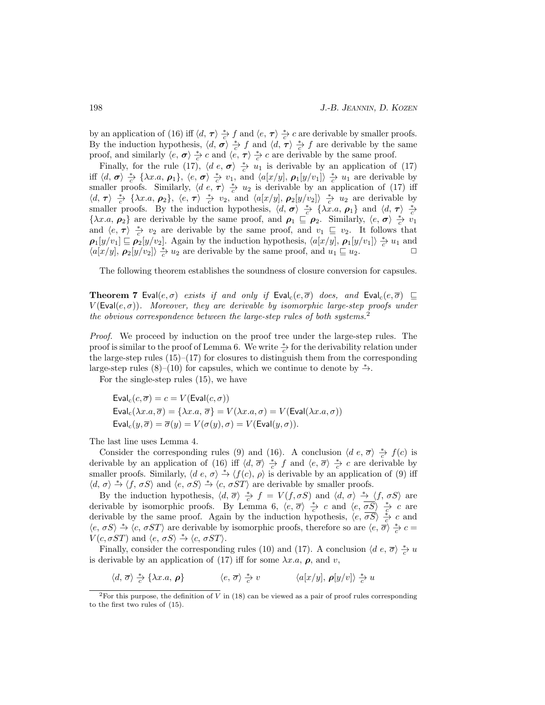by an application of (16) iff  $\langle d, \tau \rangle \frac{*}{c} f$  and  $\langle e, \tau \rangle \frac{*}{c'} c$  are derivable by smaller proofs. By the induction hypothesis,  $\langle d, \sigma \rangle \frac{*}{c} f$  and  $\langle d, \tau \rangle \frac{*}{c} f$  are derivable by the same proof, and similarly  $\langle e, \sigma \rangle \frac{*}{c'} c$  and  $\langle e, \tau \rangle \frac{*}{c'} c$  are derivable by the same proof.

Finally, for the rule (17),  $\langle d \, e, \sigma \rangle \overset{*}{\underset{c}{\to}} u_1$  is derivable by an application of (17) iff  $\langle d, \sigma \rangle \stackrel{*}{\underset{c}{\sim}} {\longrightarrow} {\longrightarrow} {\longrightarrow} {\lambda x.a, \rho_1}, \langle e, \sigma \rangle \stackrel{*}{\underset{c}{\rightleftarrows}} v_1$ , and  $\langle a[x/y], \rho_1[y/v_1] \rangle \stackrel{*}{\underset{c}{\rightarrow}} u_1$  are derivable by smaller proofs. Similarly,  $\langle d \ e, \tau \rangle \stackrel{*}{\rightarrow} u_2$  is derivable by an application of (17) iff  $\langle d, \tau \rangle \overset{*}{\underset{c}{\sim}} {\longrightarrow} {\longrightarrow} {\longrightarrow} {\longrightarrow}$   $\langle e, \tau \rangle \overset{*}{\underset{c}{\sim}} v_2$ , and  $\langle a[x/y], \rho_2[y/v_2] \rangle \overset{*}{\underset{c}{\sim}} u_2$  are derivable by smaller proofs. By the induction hypothesis,  $\langle d, \sigma \rangle \stackrel{*}{\rightarrow} \{\lambda x.a, \rho_1\}$  and  $\langle d, \tau \rangle \stackrel{*}{\rightarrow}$ { $\lambda x.a, \rho_2$ } are derivable by the same proof, and  $\rho_1 \subseteq \rho_2$ . Similarly,  $\langle e, \sigma \rangle \stackrel{*}{\underset{c}{\sim}} v_1$ and  $\langle e, \tau \rangle \stackrel{*}{\underset{c}{\sim}} v_2$  are derivable by the same proof, and  $v_1 \subseteq v_2$ . It follows that  $\rho_1[y/v_1] \sqsubseteq \rho_2[y/v_2]$ . Again by the induction hypothesis,  $\langle a[x/y], \rho_1[y/v_1] \rangle \frac{*}{c} u_1$  and  $\langle a[x/y], \rho_2[y/v_2] \rangle \frac{*}{c} u_2$  are derivable by the same proof, and  $u_1 \sqsubseteq u_2$ .

The following theorem establishes the soundness of closure conversion for capsules.

**Theorem 7** Eval $(e, \sigma)$  exists if and only if Eval<sub>c</sub> $(e, \overline{\sigma})$  does, and Eval<sub>c</sub> $(e, \overline{\sigma})$   $\sqsubseteq$  $V(\text{Eval}(e, \sigma))$ . Moreover, they are derivable by isomorphic large-step proofs under the obvious correspondence between the large-step rules of both systems.<sup>2</sup>

Proof. We proceed by induction on the proof tree under the large-step rules. The proof is similar to the proof of Lemma 6. We write  $\frac{*}{c}$  for the derivability relation under the large-step rules  $(15)$ – $(17)$  for closures to distinguish them from the corresponding large-step rules  $(8)$ – $(10)$  for capsules, which we continue to denote by  $\stackrel{*}{\rightarrow}$ .

For the single-step rules (15), we have

$$
\text{Eval}_{c}(c, \overline{\sigma}) = c = V(\text{Eval}(c, \sigma))
$$
\n
$$
\text{Eval}_{c}(\lambda x.a, \overline{\sigma}) = \{\lambda x.a, \overline{\sigma}\} = V(\lambda x.a, \sigma) = V(\text{Eval}(\lambda x.a, \sigma))
$$
\n
$$
\text{Eval}_{c}(y, \overline{\sigma}) = \overline{\sigma}(y) = V(\sigma(y), \sigma) = V(\text{Eval}(y, \sigma)).
$$

The last line uses Lemma 4.

Consider the corresponding rules (9) and (16). A conclusion  $\langle d \ e, \overline{\sigma} \rangle \frac{*}{c} f(c)$  is derivable by an application of (16) iff  $\langle d, \overline{\sigma} \rangle \frac{*}{c} f$  and  $\langle e, \overline{\sigma} \rangle \frac{*}{c} c$  are derivable by smaller proofs. Similarly,  $\langle d \ e, \sigma \rangle \stackrel{*}{\rightarrow} \langle f(c), \ \rho \rangle$  is derivable by an application of (9) iff  $\langle d, \sigma \rangle \stackrel{*}{\rightarrow} \langle f, \sigma S \rangle$  and  $\langle e, \sigma S \rangle \stackrel{*}{\rightarrow} \langle c, \sigma S T \rangle$  are derivable by smaller proofs.

By the induction hypothesis,  $\langle d, \overline{\sigma} \rangle \stackrel{*}{\underset{c}{\to}} f = V(f, \sigma S)$  and  $\langle d, \sigma \rangle \stackrel{*}{\underset{b}{\to}} \langle f, \sigma S \rangle$  are derivable by isomorphic proofs. By Lemma 6,  $\langle e, \overline{\sigma} \rangle \stackrel{*}{\underset{c}{\rightarrow}} c$  and  $\langle e, \overline{\sigma S} \rangle \stackrel{*}{\underset{c}{\rightarrow}} c$  are derivable by the same proof. Again by the induction hypothesis,  $\langle e, \overrightarrow{\sigma S} \rangle \frac{*}{c} c$  and  $\langle e, \sigma S \rangle \stackrel{*}{\rightarrow} \langle c, \sigma S T \rangle$  are derivable by isomorphic proofs, therefore so are  $\langle e, \overline{\sigma} \rangle \stackrel{*}{\rightarrow} c =$  $V(c, \sigma ST)$  and  $\langle e, \sigma S \rangle \stackrel{*}{\rightarrow} \langle c, \sigma ST \rangle$ .

Finally, consider the corresponding rules (10) and (17). A conclusion  $\langle d \, e, \overline{\sigma} \rangle \frac{*}{c} u$ is derivable by an application of (17) iff for some  $\lambda x.a, \rho$ , and v,

 $\langle d, \overline{\sigma} \rangle \stackrel{*}{\underset{c}{\sim}} \{ \lambda x. a, \rho \}$   $\langle e, \overline{\sigma} \rangle \stackrel{*}{\underset{c}{\longrightarrow}} v$   $\langle a[x/y], \rho[y/v] \rangle \stackrel{*}{\underset{c}{\longrightarrow}} u$ 

 $^{2}$ For this purpose, the definition of V in (18) can be viewed as a pair of proof rules corresponding to the first two rules of (15).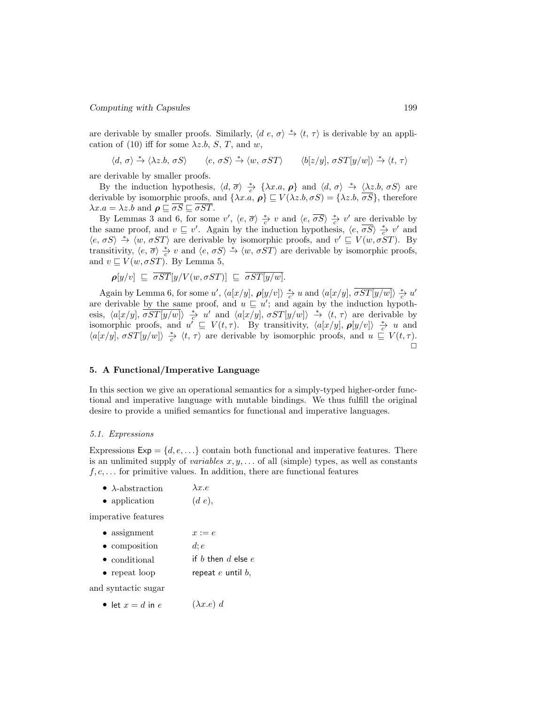are derivable by smaller proofs. Similarly,  $\langle d \ e, \sigma \rangle \stackrel{*}{\rightarrow} \langle t, \tau \rangle$  is derivable by an application of (10) iff for some  $\lambda z.b$ , S, T, and w,

$$
\langle d, \sigma \rangle \stackrel{*}{\rightarrow} \langle \lambda z.b, \sigma S \rangle \qquad \langle e, \sigma S \rangle \stackrel{*}{\rightarrow} \langle w, \sigma S T \rangle \qquad \langle b[z/y], \sigma S T[y/w] \rangle \stackrel{*}{\rightarrow} \langle t, \tau \rangle
$$

are derivable by smaller proofs.

By the induction hypothesis,  $\langle d, \overline{\sigma} \rangle \stackrel{*}{\to} {\{\lambda x.a, \rho\}}$  and  $\langle d, \sigma \rangle \stackrel{*}{\to} {\{\lambda z.b, \sigma S\}}$  are derivable by isomorphic proofs, and  $\{\lambda x.a, \boldsymbol{\rho}\}\sqsubseteq V(\lambda z.b, \sigma S) = \{\lambda z.b, \overline{\sigma S}\}\,$ , therefore  $\lambda x.a = \lambda z.b$  and  $\rho \sqsubseteq \overline{\sigma S} \sqsubseteq \overline{\sigma ST}$ .

By Lemmas 3 and 6, for some  $v'$ ,  $\langle e, \overline{\sigma} \rangle \stackrel{*}{\underset{c}{\rightarrow}} v$  and  $\langle e, \overline{\sigma S} \rangle \stackrel{*}{\underset{c}{\rightleftarrows}} v'$  are derivable by the same proof, and  $v \subseteq v'$ . Again by the induction hypothesis,  $\langle e, \overline{\sigma S} \rangle \stackrel{*}{\underset{c}{\to}} v'$  and  $\langle e, \sigma S \rangle \stackrel{*}{\rightarrow} \langle w, \sigma S T \rangle$  are derivable by isomorphic proofs, and  $v' \sqsubseteq V(w, \sigma S T)$ . By transitivity,  $\langle e, \overline{\sigma} \rangle \stackrel{*}{\to} v$  and  $\langle e, \sigma S \rangle \stackrel{*}{\to} \langle w, \sigma S T \rangle$  are derivable by isomorphic proofs, and  $v \sqsubseteq V(w, \sigma ST)$ . By Lemma 5,

$$
\rho[y/v] \subseteq \overline{\sigma ST}[y/V(w, \sigma ST)] \subseteq \overline{\sigma ST[y/w]}.
$$

Again by Lemma 6, for some u',  $\langle a[x/y], \rho[y/v] \rangle \stackrel{*}{\to} u$  and  $\langle a[x/y], \overline{\sigma ST[y/w]} \rangle \stackrel{*}{\to} u'$ are derivable by the same proof, and  $u \subseteq u'$ ; and again by the induction hypothesis,  $\langle a[x/y], \overline{\sigma ST[y/w]} \rangle \overset{*}{\underset{c}{\rightarrow}} u'$  and  $\langle a[x/y], \sigma ST[y/w] \rangle \overset{*}{\rightarrow} \langle t, \tau \rangle$  are derivable by isomorphic proofs, and  $u' \subseteq V(t, \tau)$ . By transitivity,  $\langle a[x/y], \rho[y/v] \rangle \stackrel{*}{\underset{c}{\to}} u$  and  $\langle a[x/y], \sigma ST[y/w] \rangle \stackrel{*}{\underset{c}{\to}} \langle t, \tau \rangle$  are derivable by isomorphic proofs, and  $u \subseteq V(t, \tau)$ .  $\Box$ 

# 5. A Functional/Imperative Language

In this section we give an operational semantics for a simply-typed higher-order functional and imperative language with mutable bindings. We thus fulfill the original desire to provide a unified semantics for functional and imperative languages.

#### 5.1. Expressions

Expressions  $Exp = \{d, e, \ldots\}$  contain both functional and imperative features. There is an unlimited supply of *variables*  $x, y, \ldots$  of all (simple) types, as well as constants  $f, c, \ldots$  for primitive values. In addition, there are functional features

- $\lambda$ -abstraction  $\lambda x.e$
- application  $(d e)$ ,

imperative features

| $\bullet$ assignment | $x := e$ |
|----------------------|----------|
|----------------------|----------|

- composition  $d; e$
- conditional if b then  $d$  else  $e$
- repeat loop repeat  $e$  until  $b$ ,

and syntactic sugar

• let  $x = d$  in  $e$  ( $\lambda x.e$ ) d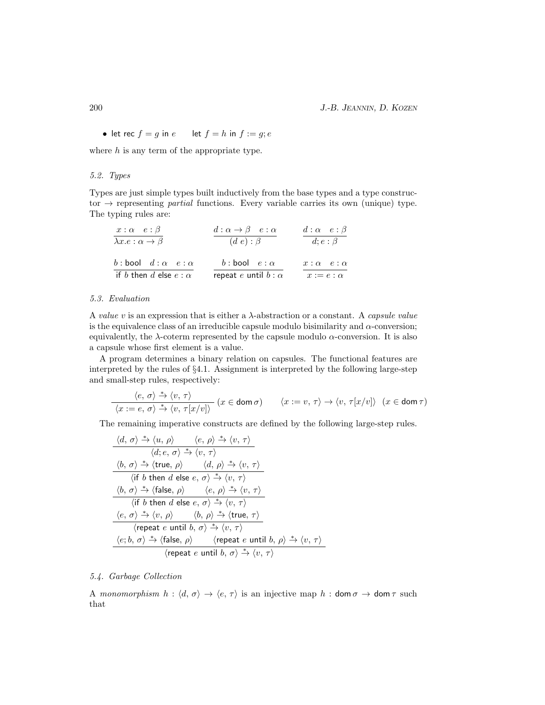• let rec  $f = g$  in  $e$  let  $f = h$  in  $f := g$ ;  $e$ 

where  $h$  is any term of the appropriate type.

# 5.2. Types

Types are just simple types built inductively from the base types and a type constructor  $\rightarrow$  representing *partial* functions. Every variable carries its own (unique) type. The typing rules are:

| $x:\alpha \quad e:\beta$<br>$\lambda x.e : \alpha \to \beta$ | $d: \alpha \rightarrow \beta$ e: $\alpha$<br>$(d e) : \beta$ | $d: \alpha \quad e: \beta$<br>$d; e : \beta$ |
|--------------------------------------------------------------|--------------------------------------------------------------|----------------------------------------------|
| b: bool $d : \alpha \cdot e : \alpha$                        | b: bool $e : \alpha$                                         | $x:\alpha \quad e:\alpha$                    |
| if b then d else $e : \alpha$                                | repeat e until $b : \alpha$                                  | $x := e : \alpha$                            |

#### 5.3. Evaluation

A value v is an expression that is either a  $\lambda$ -abstraction or a constant. A capsule value is the equivalence class of an irreducible capsule modulo bisimilarity and  $\alpha$ -conversion; equivalently, the  $\lambda$ -coterm represented by the capsule modulo  $\alpha$ -conversion. It is also a capsule whose first element is a value.

A program determines a binary relation on capsules. The functional features are interpreted by the rules of §4.1. Assignment is interpreted by the following large-step and small-step rules, respectively:

$$
\frac{\langle e, \sigma \rangle \xrightarrow{\ast} \langle v, \tau \rangle}{\langle x := e, \sigma \rangle \xrightarrow{\ast} \langle v, \tau[x/v] \rangle} (x \in \text{dom } \sigma) \qquad \langle x := v, \tau \rangle \to \langle v, \tau[x/v] \rangle \quad (x \in \text{dom } \tau)
$$

The remaining imperative constructs are defined by the following large-step rules.

$$
\frac{\langle d, \sigma \rangle \stackrel{*}{\rightarrow} \langle u, \rho \rangle \qquad \langle e, \rho \rangle \stackrel{*}{\rightarrow} \langle v, \tau \rangle}{\langle d, e, \sigma \rangle \stackrel{*}{\rightarrow} \langle v, \tau \rangle}
$$
\n
$$
\frac{\langle b, \sigma \rangle \stackrel{*}{\rightarrow} \langle \text{true}, \rho \rangle \qquad \langle d, \rho \rangle \stackrel{*}{\rightarrow} \langle v, \tau \rangle}{\langle \text{if } b \text{ then } d \text{ else } e, \sigma \rangle \stackrel{*}{\rightarrow} \langle v, \tau \rangle}
$$
\n
$$
\frac{\langle b, \sigma \rangle \stackrel{*}{\rightarrow} \langle \text{false}, \rho \rangle \qquad \langle e, \rho \rangle \stackrel{*}{\rightarrow} \langle v, \tau \rangle}{\langle \text{if } b \text{ then } d \text{ else } e, \sigma \rangle \stackrel{*}{\rightarrow} \langle v, \tau \rangle}
$$
\n
$$
\frac{\langle e, \sigma \rangle \stackrel{*}{\rightarrow} \langle v, \rho \rangle \qquad \langle b, \rho \rangle \stackrel{*}{\rightarrow} \langle \text{true}, \tau \rangle}{\langle \text{repeat } e \text{ until } b, \sigma \rangle \stackrel{*}{\rightarrow} \langle v, \tau \rangle}
$$
\n
$$
\frac{\langle e, b, \sigma \rangle \stackrel{*}{\rightarrow} \langle \text{false}, \rho \rangle \qquad \langle \text{repeat } e \text{ until } b, \rho \rangle \stackrel{*}{\rightarrow} \langle v, \tau \rangle}{\langle \text{repeat } e \text{ until } b, \sigma \rangle \stackrel{*}{\rightarrow} \langle v, \tau \rangle}
$$

### 5.4. Garbage Collection

A monomorphism  $h : \langle d, \sigma \rangle \to \langle e, \tau \rangle$  is an injective map  $h : \text{dom } \sigma \to \text{dom } \tau$  such that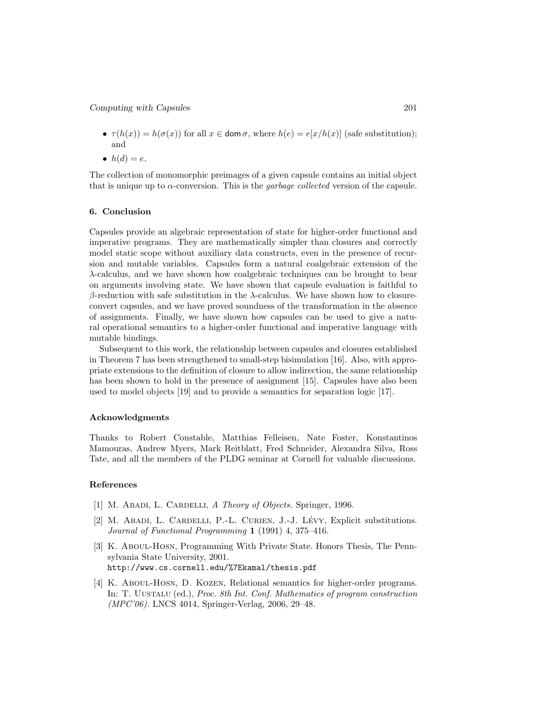- $\tau(h(x)) = h(\sigma(x))$  for all  $x \in \text{dom }\sigma$ , where  $h(e) = e[x/h(x)]$  (safe substitution); and
- $h(d) = e$ .

The collection of monomorphic preimages of a given capsule contains an initial object that is unique up to  $\alpha$ -conversion. This is the *garbage collected* version of the capsule.

### 6. Conclusion

Capsules provide an algebraic representation of state for higher-order functional and imperative programs. They are mathematically simpler than closures and correctly model static scope without auxiliary data constructs, even in the presence of recursion and mutable variables. Capsules form a natural coalgebraic extension of the λ-calculus, and we have shown how coalgebraic techniques can be brought to bear on arguments involving state. We have shown that capsule evaluation is faithful to β-reduction with safe substitution in the  $λ$ -calculus. We have shown how to closureconvert capsules, and we have proved soundness of the transformation in the absence of assignments. Finally, we have shown how capsules can be used to give a natural operational semantics to a higher-order functional and imperative language with mutable bindings.

Subsequent to this work, the relationship between capsules and closures established in Theorem 7 has been strengthened to small-step bisimulation [16]. Also, with appropriate extensions to the definition of closure to allow indirection, the same relationship has been shown to hold in the presence of assignment [15]. Capsules have also been used to model objects [19] and to provide a semantics for separation logic [17].

#### Acknowledgments

Thanks to Robert Constable, Matthias Felleisen, Nate Foster, Konstantinos Mamouras, Andrew Myers, Mark Reitblatt, Fred Schneider, Alexandra Silva, Ross Tate, and all the members of the PLDG seminar at Cornell for valuable discussions.

### References

- [1] M. ABADI, L. CARDELLI, A Theory of Objects. Springer, 1996.
- [2] M. ABADI, L. CARDELLI, P.-L. CURIEN, J.-J. LÉVY, Explicit substitutions. Journal of Functional Programming 1 (1991) 4, 375–416.
- [3] K. Aboul-Hosn, Programming With Private State. Honors Thesis, The Pennsylvania State University, 2001. http://www.cs.cornell.edu/%7Ekamal/thesis.pdf
- [4] K. Aboul-Hosn, D. Kozen, Relational semantics for higher-order programs. In: T. Uustalu (ed.), Proc. 8th Int. Conf. Mathematics of program construction (MPC'06). LNCS 4014, Springer-Verlag, 2006, 29–48.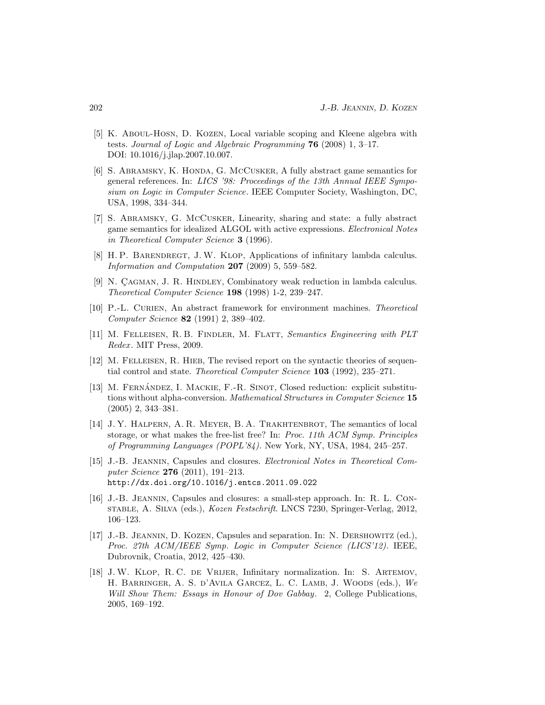- [5] K. Aboul-Hosn, D. Kozen, Local variable scoping and Kleene algebra with tests. Journal of Logic and Algebraic Programming  $76$  (2008) 1, 3-17. DOI: 10.1016/j.jlap.2007.10.007.
- [6] S. Abramsky, K. Honda, G. McCusker, A fully abstract game semantics for general references. In: LICS '98: Proceedings of the 13th Annual IEEE Symposium on Logic in Computer Science. IEEE Computer Society, Washington, DC, USA, 1998, 334–344.
- [7] S. Abramsky, G. McCusker, Linearity, sharing and state: a fully abstract game semantics for idealized ALGOL with active expressions. Electronical Notes in Theoretical Computer Science 3 (1996).
- [8] H. P. Barendregt, J.W. Klop, Applications of infinitary lambda calculus. Information and Computation 207 (2009) 5, 559–582.
- [9] N. CAGMAN, J. R. HINDLEY, Combinatory weak reduction in lambda calculus. Theoretical Computer Science 198 (1998) 1-2, 239–247.
- [10] P.-L. CURIEN, An abstract framework for environment machines. Theoretical Computer Science 82 (1991) 2, 389–402.
- [11] M. Felleisen, R. B. Findler, M. Flatt, Semantics Engineering with PLT Redex. MIT Press, 2009.
- [12] M. FELLEISEN, R. HIEB, The revised report on the syntactic theories of sequential control and state. Theoretical Computer Science 103 (1992), 235–271.
- [13] M. FERNÁNDEZ, I. MACKIE, F.-R. SINOT, Closed reduction: explicit substitutions without alpha-conversion. Mathematical Structures in Computer Science 15 (2005) 2, 343–381.
- [14] J. Y. HALPERN, A. R. MEYER, B. A. TRAKHTENBROT, The semantics of local storage, or what makes the free-list free? In: Proc. 11th ACM Symp. Principles of Programming Languages (POPL'84). New York, NY, USA, 1984, 245–257.
- [15] J.-B. Jeannin, Capsules and closures. Electronical Notes in Theoretical Computer Science 276 (2011), 191–213. http://dx.doi.org/10.1016/j.entcs.2011.09.022
- [16] J.-B. Jeannin, Capsules and closures: a small-step approach. In: R. L. Constable, A. Silva (eds.), Kozen Festschrift. LNCS 7230, Springer-Verlag, 2012, 106–123.
- [17] J.-B. Jeannin, D. Kozen, Capsules and separation. In: N. Dershowitz (ed.), Proc. 27th ACM/IEEE Symp. Logic in Computer Science (LICS'12). IEEE, Dubrovnik, Croatia, 2012, 425–430.
- [18] J.W. Klop, R. C. de Vrijer, Infinitary normalization. In: S. Artemov, H. Barringer, A. S. d'Avila Garcez, L. C. Lamb, J. Woods (eds.), We Will Show Them: Essays in Honour of Dov Gabbay. 2, College Publications, 2005, 169–192.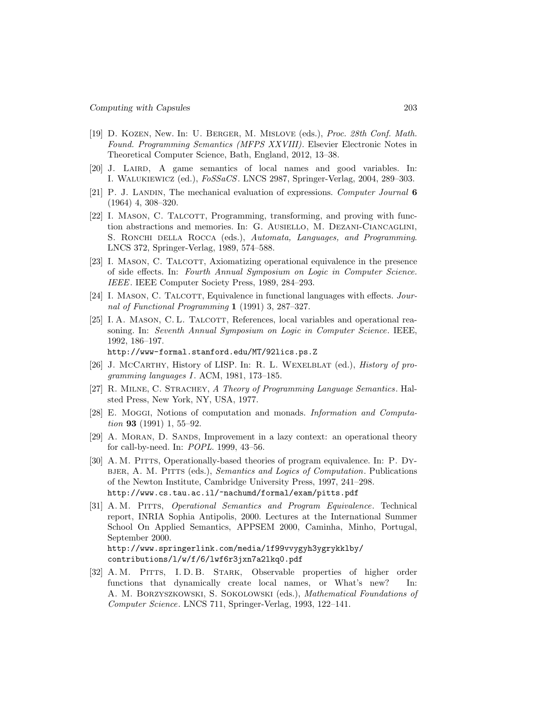- [19] D. Kozen, New. In: U. Berger, M. Mislove (eds.), Proc. 28th Conf. Math. Found. Programming Semantics (MFPS XXVIII). Elsevier Electronic Notes in Theoretical Computer Science, Bath, England, 2012, 13–38.
- [20] J. Laird, A game semantics of local names and good variables. In: I. Walukiewicz (ed.), FoSSaCS. LNCS 2987, Springer-Verlag, 2004, 289–303.
- [21] P. J. LANDIN, The mechanical evaluation of expressions. Computer Journal 6 (1964) 4, 308–320.
- [22] I. MASON, C. TALCOTT, Programming, transforming, and proving with function abstractions and memories. In: G. Ausiello, M. Dezani-Ciancaglini, S. RONCHI DELLA ROCCA (eds.), Automata, Languages, and Programming. LNCS 372, Springer-Verlag, 1989, 574–588.
- [23] I. MASON, C. TALCOTT, Axiomatizing operational equivalence in the presence of side effects. In: Fourth Annual Symposium on Logic in Computer Science. IEEE. IEEE Computer Society Press, 1989, 284–293.
- [24] I. MASON, C. TALCOTT, Equivalence in functional languages with effects. Journal of Functional Programming 1 (1991) 3, 287–327.
- [25] I. A. MASON, C. L. TALCOTT, References, local variables and operational reasoning. In: Seventh Annual Symposium on Logic in Computer Science. IEEE, 1992, 186–197.

http://www-formal.stanford.edu/MT/92lics.ps.Z

- [26] J. McCarthy, History of LISP. In: R. L. WEXELBLAT (ed.), *History of pro*gramming languages I. ACM, 1981, 173–185.
- [27] R. MILNE, C. STRACHEY, A Theory of Programming Language Semantics. Halsted Press, New York, NY, USA, 1977.
- [28] E. Moggi, Notions of computation and monads. Information and Computa*tion* **93** (1991) 1, 55–92.
- [29] A. Moran, D. Sands, Improvement in a lazy context: an operational theory for call-by-need. In: POPL. 1999, 43–56.
- [30] A. M. PITTS, Operationally-based theories of program equivalence. In: P. DYbjer, A. M. Pitts (eds.), Semantics and Logics of Computation. Publications of the Newton Institute, Cambridge University Press, 1997, 241–298. http://www.cs.tau.ac.il/~nachumd/formal/exam/pitts.pdf
- [31] A. M. Pitts, Operational Semantics and Program Equivalence. Technical report, INRIA Sophia Antipolis, 2000. Lectures at the International Summer School On Applied Semantics, APPSEM 2000, Caminha, Minho, Portugal, September 2000. http://www.springerlink.com/media/1f99vvygyh3ygrykklby/ contributions/l/w/f/6/lwf6r3jxn7a2lkq0.pdf
- [32] A. M. Pitts, I. D. B. Stark, Observable properties of higher order functions that dynamically create local names, or What's new? In: A. M. Borzyszkowski, S. Sokolowski (eds.), Mathematical Foundations of Computer Science. LNCS 711, Springer-Verlag, 1993, 122–141.